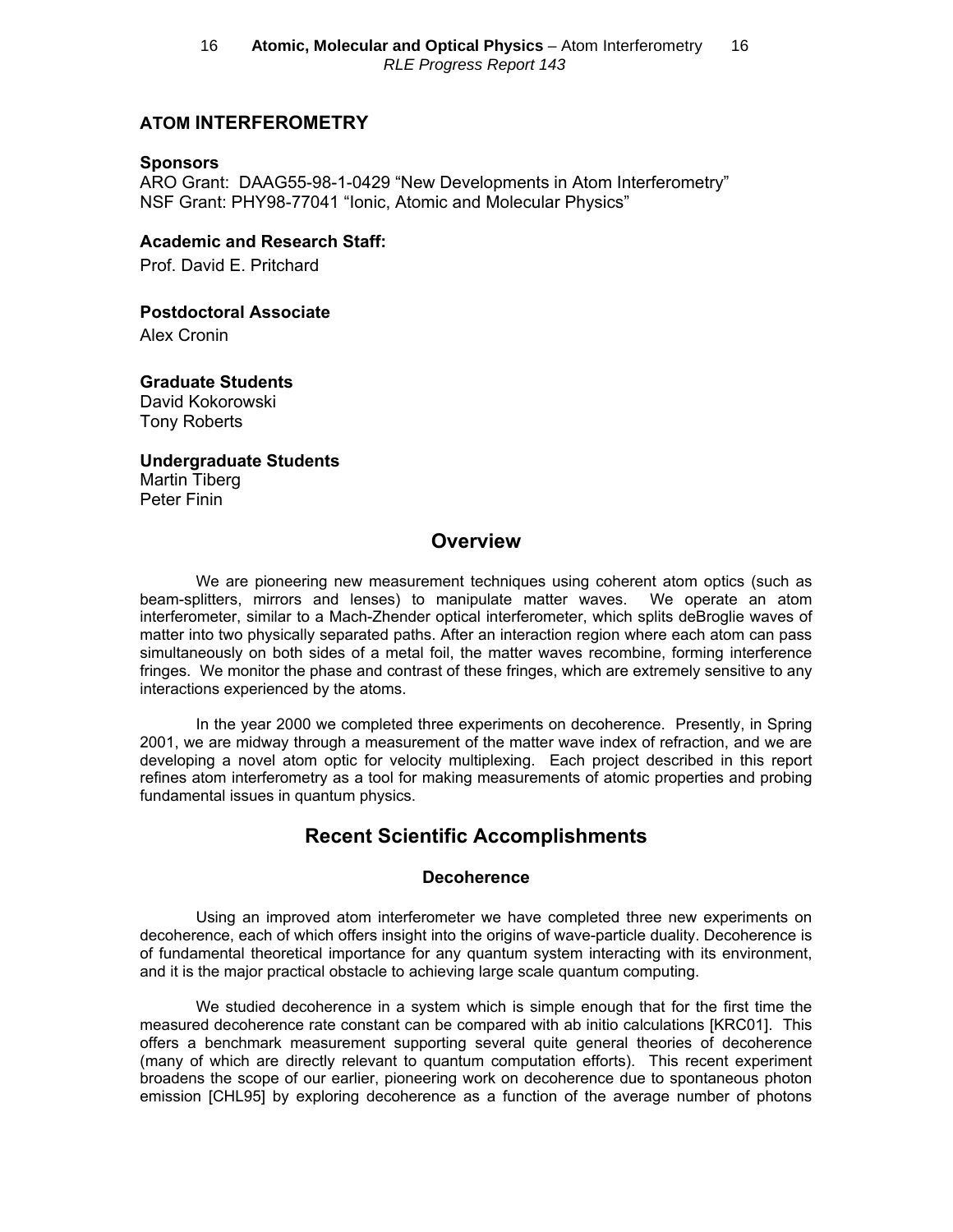# **ATOM INTERFEROMETRY**

#### **Sponsors**

ARO Grant: DAAG55-98-1-0429 "New Developments in Atom Interferometry" NSF Grant: PHY98-77041 "Ionic, Atomic and Molecular Physics"

## **Academic and Research Staff:**

Prof. David E. Pritchard

**Postdoctoral Associate** 

Alex Cronin

**Graduate Students** David Kokorowski

Tony Roberts

**Undergraduate Students** Martin Tiberg Peter Finin

# **Overview**

We are pioneering new measurement techniques using coherent atom optics (such as beam-splitters, mirrors and lenses) to manipulate matter waves. We operate an atom interferometer, similar to a Mach-Zhender optical interferometer, which splits deBroglie waves of matter into two physically separated paths. After an interaction region where each atom can pass simultaneously on both sides of a metal foil, the matter waves recombine, forming interference fringes. We monitor the phase and contrast of these fringes, which are extremely sensitive to any interactions experienced by the atoms.

In the year 2000 we completed three experiments on decoherence. Presently, in Spring 2001, we are midway through a measurement of the matter wave index of refraction, and we are developing a novel atom optic for velocity multiplexing. Each project described in this report refines atom interferometry as a tool for making measurements of atomic properties and probing fundamental issues in quantum physics.

# **Recent Scientific Accomplishments**

## **Decoherence**

Using an improved atom interferometer we have completed three new experiments on decoherence, each of which offers insight into the origins of wave-particle duality. Decoherence is of fundamental theoretical importance for any quantum system interacting with its environment, and it is the major practical obstacle to achieving large scale quantum computing.

We studied decoherence in a system which is simple enough that for the first time the measured decoherence rate constant can be compared with ab initio calculations [KRC01]. This offers a benchmark measurement supporting several quite general theories of decoherence (many of which are directly relevant to quantum computation efforts). This recent experiment broadens the scope of our earlier, pioneering work on decoherence due to spontaneous photon emission [CHL95] by exploring decoherence as a function of the average number of photons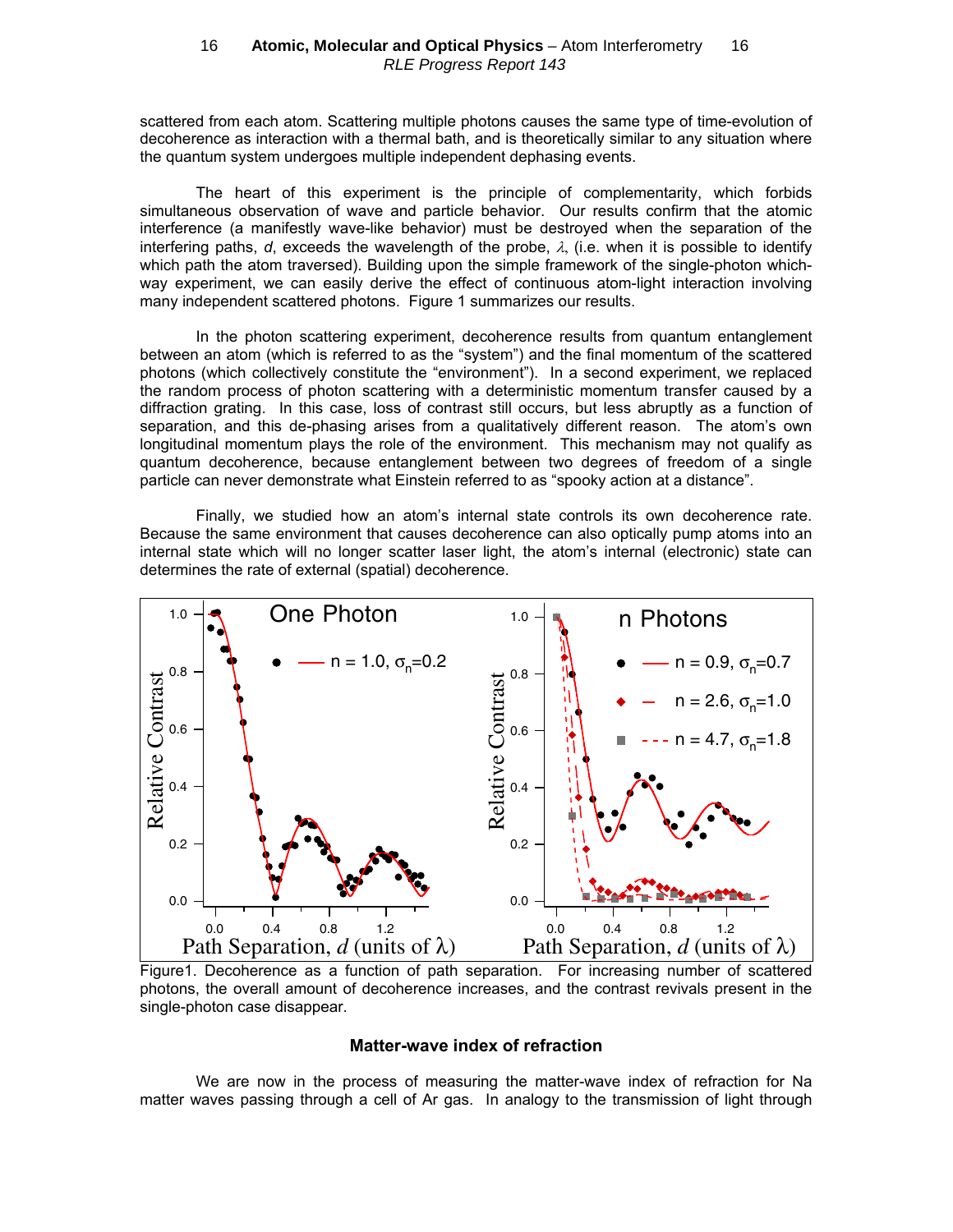scattered from each atom. Scattering multiple photons causes the same type of time-evolution of decoherence as interaction with a thermal bath, and is theoretically similar to any situation where the quantum system undergoes multiple independent dephasing events.

The heart of this experiment is the principle of complementarity, which forbids simultaneous observation of wave and particle behavior. Our results confirm that the atomic interference (a manifestly wave-like behavior) must be destroyed when the separation of the interfering paths,  $d$ , exceeds the wavelength of the probe,  $\lambda$ , (i.e. when it is possible to identify which path the atom traversed). Building upon the simple framework of the single-photon whichway experiment, we can easily derive the effect of continuous atom-light interaction involving many independent scattered photons. Figure 1 summarizes our results.

In the photon scattering experiment, decoherence results from quantum entanglement between an atom (which is referred to as the "system") and the final momentum of the scattered photons (which collectively constitute the "environment"). In a second experiment, we replaced the random process of photon scattering with a deterministic momentum transfer caused by a diffraction grating. In this case, loss of contrast still occurs, but less abruptly as a function of separation, and this de-phasing arises from a qualitatively different reason. The atom's own longitudinal momentum plays the role of the environment. This mechanism may not qualify as quantum decoherence, because entanglement between two degrees of freedom of a single particle can never demonstrate what Einstein referred to as "spooky action at a distance".

Finally, we studied how an atom's internal state controls its own decoherence rate. Because the same environment that causes decoherence can also optically pump atoms into an internal state which will no longer scatter laser light, the atom's internal (electronic) state can determines the rate of external (spatial) decoherence.



Figure1. Decoherence as a function of path separation. For increasing number of scattered photons, the overall amount of decoherence increases, and the contrast revivals present in the single-photon case disappear.

#### **Matter-wave index of refraction**

We are now in the process of measuring the matter-wave index of refraction for Na matter waves passing through a cell of Ar gas. In analogy to the transmission of light through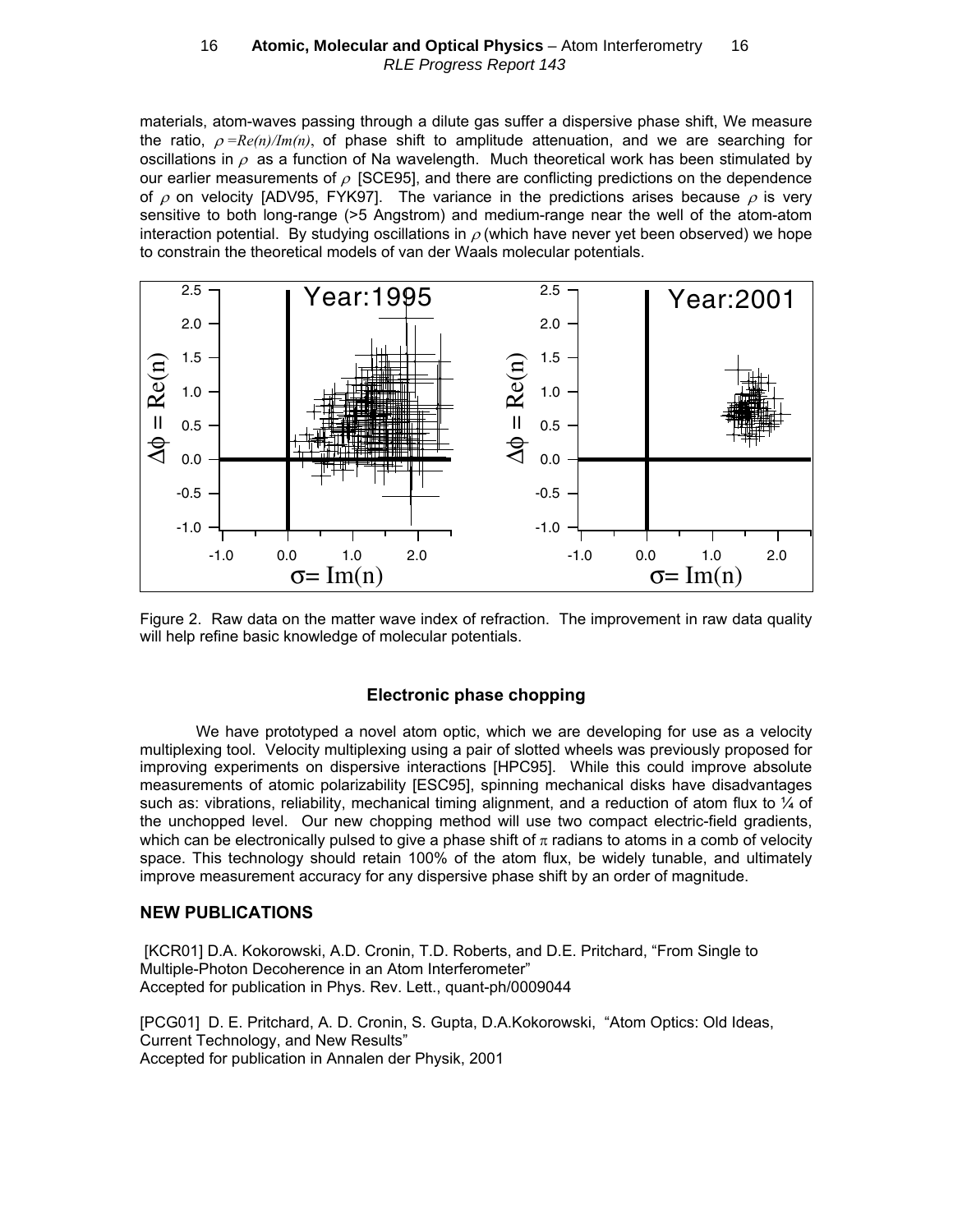#### 16 **- Atomic, Molecular and Optical Physics** - Atom Interferometry - 16 RLE Progress Report 143

materials, atom-waves passing through a dilute gas suffer a dispersive phase shift, We measure the ratio,  $\rho = \frac{Re(n)}{Im(n)}$ , of phase shift to amplitude attenuation, and we are searching for oscillations in  $\rho$  as a function of Na wavelength. Much theoretical work has been stimulated by our earlier measurements of  $\rho$  [SCE95], and there are conflicting predictions on the dependence of  $\rho$  on velocity [ADV95, FYK97]. The variance in the predictions arises because  $\rho$  is very sensitive to both long-range (>5 Angstrom) and medium-range near the well of the atom-atom interaction potential. By studying oscillations in  $\rho$  (which have never yet been observed) we hope to constrain the theoretical models of van der Waals molecular potentials.



Figure 2. Raw data on the matter wave index of refraction. The improvement in raw data quality will help refine basic knowledge of molecular potentials.

#### **Electronic phase chopping**

We have prototyped a novel atom optic, which we are developing for use as a velocity multiplexing tool. Velocity multiplexing using a pair of slotted wheels was previously proposed for improving experiments on dispersive interactions [HPC95]. While this could improve absolute measurements of atomic polarizability [ESC95], spinning mechanical disks have disadvantages such as: vibrations, reliability, mechanical timing alignment, and a reduction of atom flux to  $\frac{1}{4}$  of the unchopped level. Our new chopping method will use two compact electric-field gradients, which can be electronically pulsed to give a phase shift of  $\pi$  radians to atoms in a comb of velocity space. This technology should retain 100% of the atom flux, be widely tunable, and ultimately improve measurement accuracy for any dispersive phase shift by an order of magnitude.

#### **NEW PUBLICATIONS**

 [KCR01] D.A. Kokorowski, A.D. Cronin, T.D. Roberts, and D.E. Pritchard, "From Single to Multiple-Photon Decoherence in an Atom Interferometer" Accepted for publication in Phys. Rev. Lett., quant-ph/0009044

[PCG01] D. E. Pritchard, A. D. Cronin, S. Gupta, D.A.Kokorowski, "Atom Optics: Old Ideas, Current Technology, and New Results" Accepted for publication in Annalen der Physik, 2001